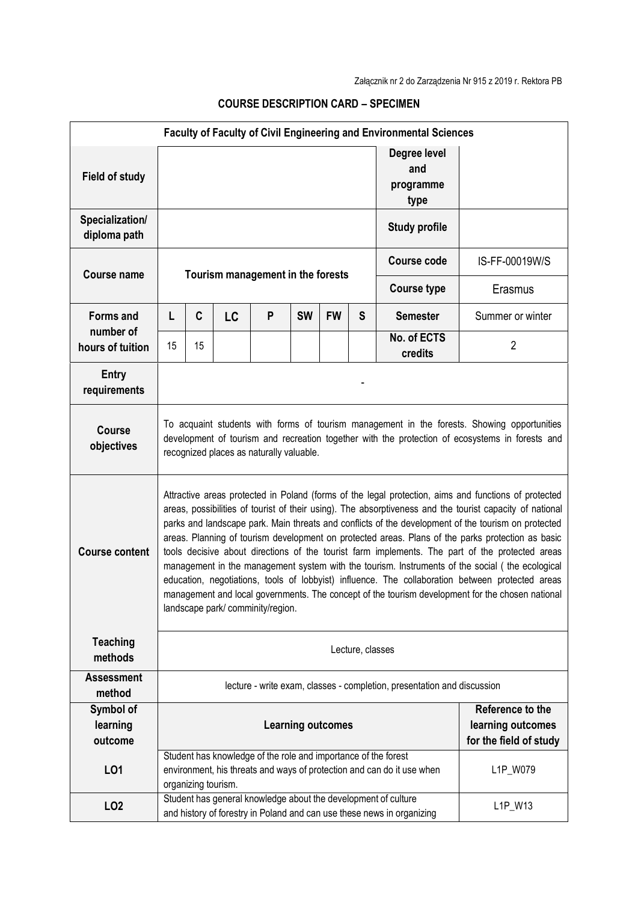| <b>Faculty of Faculty of Civil Engineering and Environmental Sciences</b> |                                                                                                                                                                                                                                                                                                                                                                                                                                                                                                                                                                                                                                                                                                                                                                                                                                                                                |                                                                                                                                                                             |    |   |           |           |   |                                          |                  |
|---------------------------------------------------------------------------|--------------------------------------------------------------------------------------------------------------------------------------------------------------------------------------------------------------------------------------------------------------------------------------------------------------------------------------------------------------------------------------------------------------------------------------------------------------------------------------------------------------------------------------------------------------------------------------------------------------------------------------------------------------------------------------------------------------------------------------------------------------------------------------------------------------------------------------------------------------------------------|-----------------------------------------------------------------------------------------------------------------------------------------------------------------------------|----|---|-----------|-----------|---|------------------------------------------|------------------|
| <b>Field of study</b>                                                     |                                                                                                                                                                                                                                                                                                                                                                                                                                                                                                                                                                                                                                                                                                                                                                                                                                                                                |                                                                                                                                                                             |    |   |           |           |   | Degree level<br>and<br>programme<br>type |                  |
| Specialization/<br>diploma path                                           |                                                                                                                                                                                                                                                                                                                                                                                                                                                                                                                                                                                                                                                                                                                                                                                                                                                                                |                                                                                                                                                                             |    |   |           |           |   | <b>Study profile</b>                     |                  |
| <b>Course name</b>                                                        | Tourism management in the forests                                                                                                                                                                                                                                                                                                                                                                                                                                                                                                                                                                                                                                                                                                                                                                                                                                              |                                                                                                                                                                             |    |   |           |           |   | <b>Course code</b>                       | IS-FF-00019W/S   |
|                                                                           |                                                                                                                                                                                                                                                                                                                                                                                                                                                                                                                                                                                                                                                                                                                                                                                                                                                                                |                                                                                                                                                                             |    |   |           |           |   | <b>Course type</b>                       | Erasmus          |
| <b>Forms and</b><br>number of<br>hours of tuition                         | L                                                                                                                                                                                                                                                                                                                                                                                                                                                                                                                                                                                                                                                                                                                                                                                                                                                                              | C                                                                                                                                                                           | LC | P | <b>SW</b> | <b>FW</b> | S | <b>Semester</b>                          | Summer or winter |
|                                                                           | 15                                                                                                                                                                                                                                                                                                                                                                                                                                                                                                                                                                                                                                                                                                                                                                                                                                                                             | 15                                                                                                                                                                          |    |   |           |           |   | No. of ECTS<br>credits                   | $\overline{2}$   |
| <b>Entry</b><br>requirements                                              |                                                                                                                                                                                                                                                                                                                                                                                                                                                                                                                                                                                                                                                                                                                                                                                                                                                                                |                                                                                                                                                                             |    |   |           |           |   |                                          |                  |
| <b>Course</b><br>objectives                                               | To acquaint students with forms of tourism management in the forests. Showing opportunities<br>development of tourism and recreation together with the protection of ecosystems in forests and<br>recognized places as naturally valuable.                                                                                                                                                                                                                                                                                                                                                                                                                                                                                                                                                                                                                                     |                                                                                                                                                                             |    |   |           |           |   |                                          |                  |
| <b>Course content</b>                                                     | Attractive areas protected in Poland (forms of the legal protection, aims and functions of protected<br>areas, possibilities of tourist of their using). The absorptiveness and the tourist capacity of national<br>parks and landscape park. Main threats and conflicts of the development of the tourism on protected<br>areas. Planning of tourism development on protected areas. Plans of the parks protection as basic<br>tools decisive about directions of the tourist farm implements. The part of the protected areas<br>management in the management system with the tourism. Instruments of the social (the ecological<br>education, negotiations, tools of lobbyist) influence. The collaboration between protected areas<br>management and local governments. The concept of the tourism development for the chosen national<br>landscape park/comminity/region. |                                                                                                                                                                             |    |   |           |           |   |                                          |                  |
| <b>Teaching</b><br>methods                                                | Lecture, classes                                                                                                                                                                                                                                                                                                                                                                                                                                                                                                                                                                                                                                                                                                                                                                                                                                                               |                                                                                                                                                                             |    |   |           |           |   |                                          |                  |
| <b>Assessment</b><br>method                                               | lecture - write exam, classes - completion, presentation and discussion                                                                                                                                                                                                                                                                                                                                                                                                                                                                                                                                                                                                                                                                                                                                                                                                        |                                                                                                                                                                             |    |   |           |           |   |                                          |                  |
| Symbol of<br>learning<br>outcome                                          | Reference to the<br>learning outcomes<br><b>Learning outcomes</b><br>for the field of study                                                                                                                                                                                                                                                                                                                                                                                                                                                                                                                                                                                                                                                                                                                                                                                    |                                                                                                                                                                             |    |   |           |           |   |                                          |                  |
| L01                                                                       |                                                                                                                                                                                                                                                                                                                                                                                                                                                                                                                                                                                                                                                                                                                                                                                                                                                                                | Student has knowledge of the role and importance of the forest<br>environment, his threats and ways of protection and can do it use when<br>L1P_W079<br>organizing tourism. |    |   |           |           |   |                                          |                  |
| LO <sub>2</sub>                                                           | Student has general knowledge about the development of culture<br>L1P_W13<br>and history of forestry in Poland and can use these news in organizing                                                                                                                                                                                                                                                                                                                                                                                                                                                                                                                                                                                                                                                                                                                            |                                                                                                                                                                             |    |   |           |           |   |                                          |                  |

## **COURSE DESCRIPTION CARD – SPECIMEN**